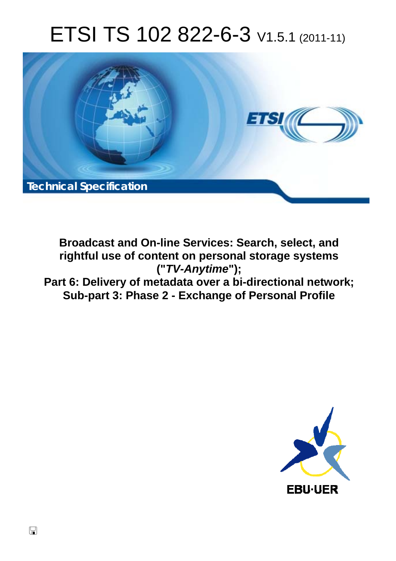# ETSI TS 102 822-6-3 V1.5.1 (2011-11)



**Broadcast and On-line Services: Search, select, and rightful use of content on personal storage systems ("***TV-Anytime***"); Part 6: Delivery of metadata over a bi-directional network; Sub-part 3: Phase 2 - Exchange of Personal Profile** 

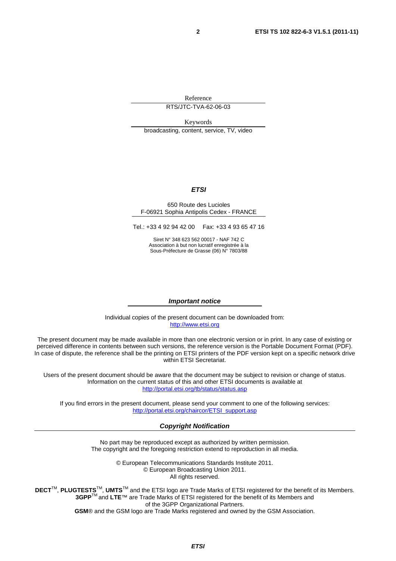Reference

RTS/JTC-TVA-62-06-03

Keywords broadcasting, content, service, TV, video

#### *ETSI*

#### 650 Route des Lucioles F-06921 Sophia Antipolis Cedex - FRANCE

Tel.: +33 4 92 94 42 00 Fax: +33 4 93 65 47 16

Siret N° 348 623 562 00017 - NAF 742 C Association à but non lucratif enregistrée à la Sous-Préfecture de Grasse (06) N° 7803/88

#### *Important notice*

Individual copies of the present document can be downloaded from: [http://www.etsi.org](http://www.etsi.org/)

The present document may be made available in more than one electronic version or in print. In any case of existing or perceived difference in contents between such versions, the reference version is the Portable Document Format (PDF). In case of dispute, the reference shall be the printing on ETSI printers of the PDF version kept on a specific network drive within ETSI Secretariat.

Users of the present document should be aware that the document may be subject to revision or change of status. Information on the current status of this and other ETSI documents is available at <http://portal.etsi.org/tb/status/status.asp>

If you find errors in the present document, please send your comment to one of the following services: [http://portal.etsi.org/chaircor/ETSI\\_support.asp](http://portal.etsi.org/chaircor/ETSI_support.asp)

#### *Copyright Notification*

No part may be reproduced except as authorized by written permission. The copyright and the foregoing restriction extend to reproduction in all media.

> © European Telecommunications Standards Institute 2011. © European Broadcasting Union 2011. All rights reserved.

**DECT**TM, **PLUGTESTS**TM, **UMTS**TM and the ETSI logo are Trade Marks of ETSI registered for the benefit of its Members. **3GPP**TM and **LTE**™ are Trade Marks of ETSI registered for the benefit of its Members and of the 3GPP Organizational Partners. **GSM**® and the GSM logo are Trade Marks registered and owned by the GSM Association.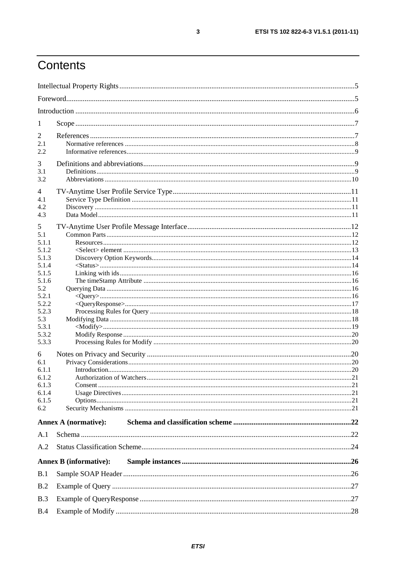# Contents

| 1                     |                               |  |
|-----------------------|-------------------------------|--|
| 2                     |                               |  |
| 2.1                   |                               |  |
| 2.2                   |                               |  |
| 3                     |                               |  |
| 3.1                   |                               |  |
| 3.2                   |                               |  |
|                       |                               |  |
| $\overline{4}$<br>4.1 |                               |  |
| 4.2                   |                               |  |
| 4.3                   |                               |  |
|                       |                               |  |
| 5<br>5.1              |                               |  |
| 5.1.1                 |                               |  |
| 5.1.2                 |                               |  |
| 5.1.3                 |                               |  |
| 5.1.4                 |                               |  |
| 5.1.5                 |                               |  |
| 5.1.6                 |                               |  |
| 5.2                   |                               |  |
| 5.2.1<br>5.2.2        |                               |  |
| 5.2.3                 |                               |  |
| 5.3                   |                               |  |
| 5.3.1                 |                               |  |
| 5.3.2                 |                               |  |
| 5.3.3                 |                               |  |
| 6                     |                               |  |
| 6.1                   |                               |  |
| 6.1.1                 |                               |  |
| 6.1.2                 |                               |  |
| 6.1.3                 |                               |  |
| 6.1.4                 |                               |  |
| 6.1.5<br>6.2          |                               |  |
|                       |                               |  |
|                       | <b>Annex A (normative):</b>   |  |
| A.1                   |                               |  |
| A.2                   |                               |  |
|                       | <b>Annex B</b> (informative): |  |
| B.1                   |                               |  |
| B.2                   |                               |  |
| B.3                   |                               |  |
| B.4                   |                               |  |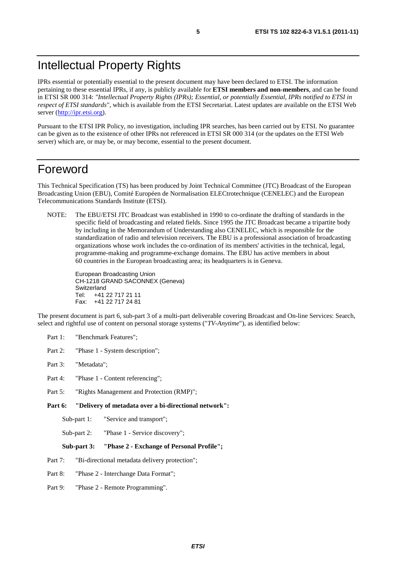### Intellectual Property Rights

IPRs essential or potentially essential to the present document may have been declared to ETSI. The information pertaining to these essential IPRs, if any, is publicly available for **ETSI members and non-members**, and can be found in ETSI SR 000 314: *"Intellectual Property Rights (IPRs); Essential, or potentially Essential, IPRs notified to ETSI in respect of ETSI standards"*, which is available from the ETSI Secretariat. Latest updates are available on the ETSI Web server [\(http://ipr.etsi.org](http://webapp.etsi.org/IPR/home.asp)).

Pursuant to the ETSI IPR Policy, no investigation, including IPR searches, has been carried out by ETSI. No guarantee can be given as to the existence of other IPRs not referenced in ETSI SR 000 314 (or the updates on the ETSI Web server) which are, or may be, or may become, essential to the present document.

### Foreword

This Technical Specification (TS) has been produced by Joint Technical Committee (JTC) Broadcast of the European Broadcasting Union (EBU), Comité Européen de Normalisation ELECtrotechnique (CENELEC) and the European Telecommunications Standards Institute (ETSI).

NOTE: The EBU/ETSI JTC Broadcast was established in 1990 to co-ordinate the drafting of standards in the specific field of broadcasting and related fields. Since 1995 the JTC Broadcast became a tripartite body by including in the Memorandum of Understanding also CENELEC, which is responsible for the standardization of radio and television receivers. The EBU is a professional association of broadcasting organizations whose work includes the co-ordination of its members' activities in the technical, legal, programme-making and programme-exchange domains. The EBU has active members in about 60 countries in the European broadcasting area; its headquarters is in Geneva.

European Broadcasting Union CH-1218 GRAND SACONNEX (Geneva) Switzerland Tel: +41 22 717 21 11 Fax: +41 22 717 24 81

The present document is part 6, sub-part 3 of a multi-part deliverable covering Broadcast and On-line Services: Search, select and rightful use of content on personal storage systems ("*TV-Anytime*"), as identified below:

- Part 1: "Benchmark Features";
- Part 2: "Phase 1 System description";
- Part 3: "Metadata";
- Part 4: "Phase 1 Content referencing":
- Part 5: "Rights Management and Protection (RMP)";
- **Part 6: "Delivery of metadata over a bi-directional network":** 
	- Sub-part 1: "Service and transport";
	- Sub-part 2: "Phase 1 Service discovery";

#### **Sub-part 3: "Phase 2 - Exchange of Personal Profile";**

- Part 7: "Bi-directional metadata delivery protection";
- Part 8: "Phase 2 Interchange Data Format";
- Part 9: "Phase 2 Remote Programming".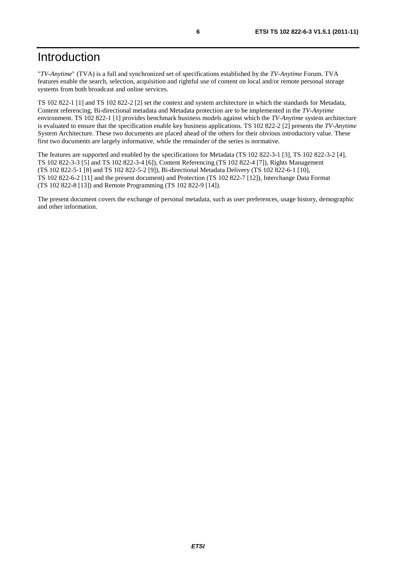### Introduction

"*TV-Anytime*" (TVA) is a full and synchronized set of specifications established by the *TV-Anytime* Forum. TVA features enable the search, selection, acquisition and rightful use of content on local and/or remote personal storage systems from both broadcast and online services.

TS 102 822-1 [1] and TS 102 822-2 [2] set the context and system architecture in which the standards for Metadata, Content referencing, Bi-directional metadata and Metadata protection are to be implemented in the *TV-Anytime* environment. TS 102 822-1 [1] provides benchmark business models against which the *TV-Anytime* system architecture is evaluated to ensure that the specification enable key business applications. TS 102 822-2 [2] presents the *TV-Anytime* System Architecture. These two documents are placed ahead of the others for their obvious introductory value. These first two documents are largely informative, while the remainder of the series is normative.

The features are supported and enabled by the specifications for Metadata (TS 102 822-3-1 [3], TS 102 822-3-2 [4], TS 102 822-3-3 [5] and TS 102 822-3-4 [6]), Content Referencing (TS 102 822-4 [7]), Rights Management (TS 102 822-5-1 [8] and TS 102 822-5-2 [9]), Bi-directional Metadata Delivery (TS 102 822-6-1 [10], TS 102 822-6-2 [11] and the present document) and Protection (TS 102 822-7 [12]), Interchange Data Format (TS 102 822-8 [13]) and Remote Programming (TS 102 822-9 [14]).

The present document covers the exchange of personal metadata, such as user preferences, usage history, demographic and other information.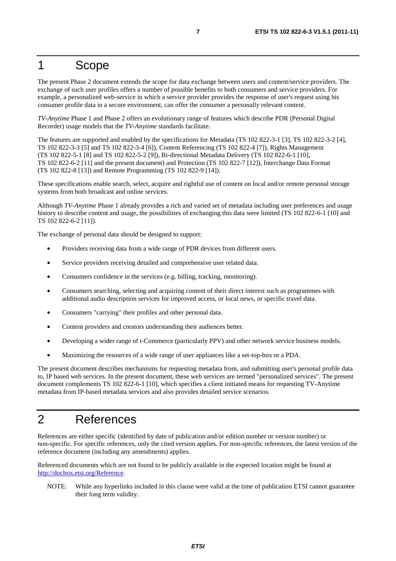### 1 Scope

The present Phase 2 document extends the scope for data exchange between users and content/service providers. The exchange of such user profiles offers a number of possible benefits to both consumers and service providers. For example, a personalized web-service in which a service provider provides the response of user's request using his consumer profile data in a secure environment, can offer the consumer a personally relevant content.

*TV-Anytime* Phase 1 and Phase 2 offers an evolutionary range of features which describe PDR (Personal Digital Recorder) usage models that the *TV-Anytime* standards facilitate.

The features are supported and enabled by the specifications for Metadata (TS 102 822-3-1 [3], TS 102 822-3-2 [4], TS 102 822-3-3 [5] and TS 102 822-3-4 [6]), Content Referencing (TS 102 822-4 [7]), Rights Management (TS 102 822-5-1 [8] and TS 102 822-5-2 [9]), Bi-directional Metadata Delivery (TS 102 822-6-1 [10], TS 102 822-6-2 [11] and the present document) and Protection (TS 102 822-7 [12]), Interchange Data Format (TS 102 822-8 [13]) and Remote Programming (TS 102 822-9 [14]).

These specifications enable search, select, acquire and rightful use of content on local and/or remote personal storage systems from both broadcast and online services.

Although *TV-Anytime* Phase 1 already provides a rich and varied set of metadata including user preferences and usage history to describe content and usage, the possibilities of exchanging this data were limited (TS 102 822-6-1 [10] and TS 102 822-6-2 [11]).

The exchange of personal data should be designed to support:

- Providers receiving data from a wide range of PDR devices from different users.
- Service providers receiving detailed and comprehensive user related data.
- Consumers confidence in the services (e.g. billing, tracking, monitoring).
- Consumers searching, selecting and acquiring content of their direct interest such as programmes with additional audio description services for improved access, or local news, or specific travel data.
- Consumers "carrying" their profiles and other personal data.
- Content providers and creators understanding their audiences better.
- Developing a wider range of t-Commerce (particularly PPV) and other network service business models.
- Maximizing the resources of a wide range of user appliances like a set-top-box or a PDA.

The present document describes mechanisms for requesting metadata from, and submitting user's personal profile data to, IP based web services. In the present document, these web services are termed "personalized services". The present document complements TS 102 822-6-1 [10], which specifies a client initiated means for requesting TV-Anytime metadata from IP-based metadata services and also provides detailed service scenarios.

### 2 References

References are either specific (identified by date of publication and/or edition number or version number) or non-specific. For specific references, only the cited version applies. For non-specific references, the latest version of the reference document (including any amendments) applies.

Referenced documents which are not found to be publicly available in the expected location might be found at [http://docbox.etsi.org/Reference.](http://docbox.etsi.org/Reference)

NOTE: While any hyperlinks included in this clause were valid at the time of publication ETSI cannot guarantee their long term validity.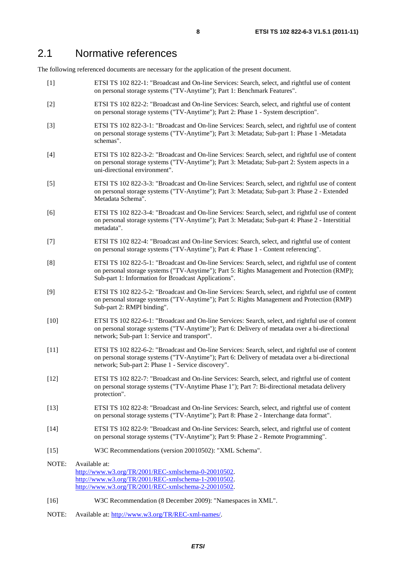### 2.1 Normative references

The following referenced documents are necessary for the application of the present document.

- [1] ETSI TS 102 822-1: "Broadcast and On-line Services: Search, select, and rightful use of content on personal storage systems ("TV-Anytime"); Part 1: Benchmark Features".
- [2] ETSI TS 102 822-2: "Broadcast and On-line Services: Search, select, and rightful use of content on personal storage systems ("TV-Anytime"); Part 2: Phase 1 - System description".
- [3] ETSI TS 102 822-3-1: "Broadcast and On-line Services: Search, select, and rightful use of content on personal storage systems ("TV-Anytime"); Part 3: Metadata; Sub-part 1: Phase 1 -Metadata schemas".
- [4] ETSI TS 102 822-3-2: "Broadcast and On-line Services: Search, select, and rightful use of content on personal storage systems ("TV-Anytime"); Part 3: Metadata; Sub-part 2: System aspects in a uni-directional environment".
- [5] ETSI TS 102 822-3-3: "Broadcast and On-line Services: Search, select, and rightful use of content on personal storage systems ("TV-Anytime"); Part 3: Metadata; Sub-part 3: Phase 2 - Extended Metadata Schema".
- [6] ETSI TS 102 822-3-4: "Broadcast and On-line Services: Search, select, and rightful use of content on personal storage systems ("TV-Anytime"); Part 3: Metadata; Sub-part 4: Phase 2 - Interstitial metadata".
- [7] ETSI TS 102 822-4: "Broadcast and On-line Services: Search, select, and rightful use of content on personal storage systems ("TV-Anytime"); Part 4: Phase 1 - Content referencing".
- [8] ETSI TS 102 822-5-1: "Broadcast and On-line Services: Search, select, and rightful use of content on personal storage systems ("TV-Anytime"); Part 5: Rights Management and Protection (RMP); Sub-part 1: Information for Broadcast Applications".
- [9] ETSI TS 102 822-5-2: "Broadcast and On-line Services: Search, select, and rightful use of content on personal storage systems ("TV-Anytime"); Part 5: Rights Management and Protection (RMP) Sub-part 2: RMPI binding".
- [10] ETSI TS 102 822-6-1: "Broadcast and On-line Services: Search, select, and rightful use of content on personal storage systems ("TV-Anytime"); Part 6: Delivery of metadata over a bi-directional network; Sub-part 1: Service and transport".
- [11] ETSI TS 102 822-6-2: "Broadcast and On-line Services: Search, select, and rightful use of content on personal storage systems ("TV-Anytime"); Part 6: Delivery of metadata over a bi-directional network; Sub-part 2: Phase 1 - Service discovery".
- [12] ETSI TS 102 822-7: "Broadcast and On-line Services: Search, select, and rightful use of content on personal storage systems ("TV-Anytime Phase 1"); Part 7: Bi-directional metadata delivery protection".
- [13] ETSI TS 102 822-8: "Broadcast and On-line Services: Search, select, and rightful use of content on personal storage systems ("TV-Anytime"); Part 8: Phase 2 - Interchange data format".
- [14] ETSI TS 102 822-9: "Broadcast and On-line Services: Search, select, and rightful use of content on personal storage systems ("TV-Anytime"); Part 9: Phase 2 - Remote Programming".
- [15] W3C Recommendations (version 20010502): "XML Schema".
- NOTE: Available at: [http://www.w3.org/TR/2001/REC-xmlschema-0-20010502.](http://www.w3.org/TR/2001/REC-xmlschema-0-20010502) [http://www.w3.org/TR/2001/REC-xmlschema-1-20010502.](http://www.w3.org/TR/2001/REC-xmlschema-1-20010502) [http://www.w3.org/TR/2001/REC-xmlschema-2-20010502.](http://www.w3.org/XML/Schema)
- [16] W3C Recommendation (8 December 2009): "Namespaces in XML".
- NOTE: Available at: [http://www.w3.org/TR/REC-xml-names/.](http://www.w3.org/TR/REC-xml-names/)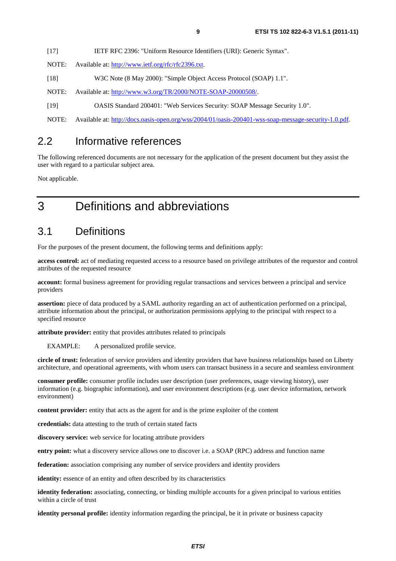| $[17]$ | IETF RFC 2396: "Uniform Resource Identifiers (URI): Generic Syntax". |  |  |
|--------|----------------------------------------------------------------------|--|--|
|        |                                                                      |  |  |

- NOTE: Available at: [http://www.ietf.org/rfc/rfc2396.txt.](http://www.ietf.org/rfc/rfc2396.txt)
- [18] W3C Note (8 May 2000): "Simple Object Access Protocol (SOAP) 1.1".
- NOTE: Available at:<http://www.w3.org/TR/2000/NOTE-SOAP-20000508/>.
- [19] OASIS Standard 200401: "Web Services Security: SOAP Message Security 1.0".
- NOTE: Available at: [http://docs.oasis-open.org/wss/2004/01/oasis-200401-wss-soap-message-security-1.0.pdf.](http://docs.oasis-open.org/wss/2004/01/oasis-200401-wss-soap-message-security-1.0.pdf)

### 2.2 Informative references

The following referenced documents are not necessary for the application of the present document but they assist the user with regard to a particular subject area.

Not applicable.

# 3 Definitions and abbreviations

### 3.1 Definitions

For the purposes of the present document, the following terms and definitions apply:

**access control:** act of mediating requested access to a resource based on privilege attributes of the requestor and control attributes of the requested resource

**account:** formal business agreement for providing regular transactions and services between a principal and service providers

**assertion:** piece of data produced by a SAML authority regarding an act of authentication performed on a principal, attribute information about the principal, or authorization permissions applying to the principal with respect to a specified resource

**attribute provider:** entity that provides attributes related to principals

EXAMPLE: A personalized profile service.

**circle of trust:** federation of service providers and identity providers that have business relationships based on Liberty architecture, and operational agreements, with whom users can transact business in a secure and seamless environment

**consumer profile:** consumer profile includes user description (user preferences, usage viewing history), user information (e.g. biographic information), and user environment descriptions (e.g. user device information, network environment)

**content provider:** entity that acts as the agent for and is the prime exploiter of the content

**credentials:** data attesting to the truth of certain stated facts

**discovery service:** web service for locating attribute providers

**entry point:** what a discovery service allows one to discover i.e. a SOAP (RPC) address and function name

**federation:** association comprising any number of service providers and identity providers

**identity:** essence of an entity and often described by its characteristics

**identity federation:** associating, connecting, or binding multiple accounts for a given principal to various entities within a circle of trust

**identity personal profile:** identity information regarding the principal, be it in private or business capacity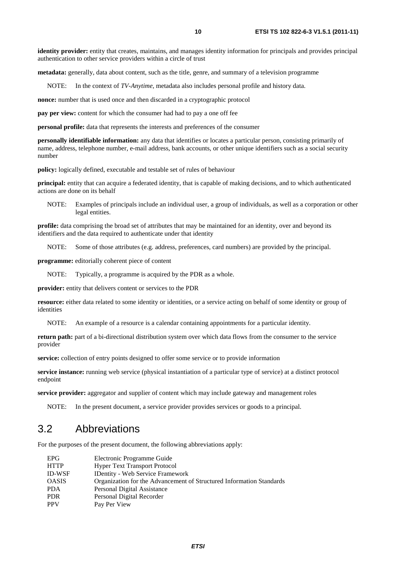**identity provider:** entity that creates, maintains, and manages identity information for principals and provides principal authentication to other service providers within a circle of trust

**metadata:** generally, data about content, such as the title, genre, and summary of a television programme

NOTE: In the context of *TV-Anytime*, metadata also includes personal profile and history data.

**nonce:** number that is used once and then discarded in a cryptographic protocol

**pay per view:** content for which the consumer had had to pay a one off fee

**personal profile:** data that represents the interests and preferences of the consumer

**personally identifiable information:** any data that identifies or locates a particular person, consisting primarily of name, address, telephone number, e-mail address, bank accounts, or other unique identifiers such as a social security number

**policy:** logically defined, executable and testable set of rules of behaviour

**principal:** entity that can acquire a federated identity, that is capable of making decisions, and to which authenticated actions are done on its behalf

NOTE: Examples of principals include an individual user, a group of individuals, as well as a corporation or other legal entities.

**profile:** data comprising the broad set of attributes that may be maintained for an identity, over and beyond its identifiers and the data required to authenticate under that identity

NOTE: Some of those attributes (e.g. address, preferences, card numbers) are provided by the principal.

**programme:** editorially coherent piece of content

NOTE: Typically, a programme is acquired by the PDR as a whole.

**provider:** entity that delivers content or services to the PDR

**resource:** either data related to some identity or identities, or a service acting on behalf of some identity or group of identities

NOTE: An example of a resource is a calendar containing appointments for a particular identity.

**return path:** part of a bi-directional distribution system over which data flows from the consumer to the service provider

**service:** collection of entry points designed to offer some service or to provide information

**service instance:** running web service (physical instantiation of a particular type of service) at a distinct protocol endpoint

**service provider:** aggregator and supplier of content which may include gateway and management roles

NOTE: In the present document, a service provider provides services or goods to a principal.

### 3.2 Abbreviations

For the purposes of the present document, the following abbreviations apply:

| <b>EPG</b>    | Electronic Programme Guide                                           |
|---------------|----------------------------------------------------------------------|
| <b>HTTP</b>   | <b>Hyper Text Transport Protocol</b>                                 |
| <b>ID-WSF</b> | <b>IDentity - Web Service Framework</b>                              |
| <b>OASIS</b>  | Organization for the Advancement of Structured Information Standards |
| <b>PDA</b>    | Personal Digital Assistance                                          |
| <b>PDR</b>    | Personal Digital Recorder                                            |
| <b>PPV</b>    | Pay Per View                                                         |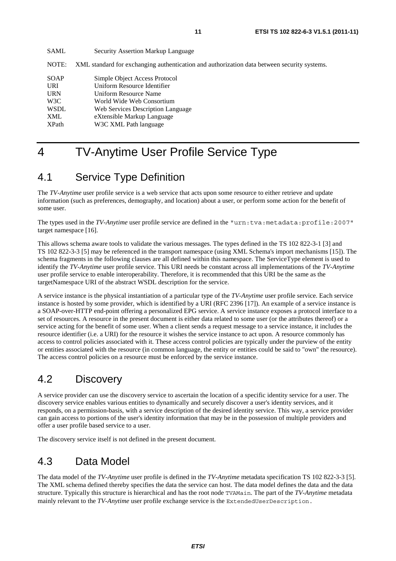| <b>SAML</b>  | <b>Security Assertion Markup Language</b>                                                   |
|--------------|---------------------------------------------------------------------------------------------|
| NOTE:        | XML standard for exchanging authentication and authorization data between security systems. |
| <b>SOAP</b>  | Simple Object Access Protocol                                                               |
| <b>URI</b>   | Uniform Resource Identifier                                                                 |
| <b>URN</b>   | Uniform Resource Name                                                                       |
| W3C          | World Wide Web Consortium                                                                   |
| <b>WSDL</b>  | Web Services Description Language                                                           |
| XML          | eXtensible Markup Language                                                                  |
| <b>XPath</b> | W3C XML Path language                                                                       |
|              |                                                                                             |

# 4 TV-Anytime User Profile Service Type

### 4.1 Service Type Definition

The *TV-Anytime* user profile service is a web service that acts upon some resource to either retrieve and update information (such as preferences, demography, and location) about a user, or perform some action for the benefit of some user.

The types used in the *TV-Anytime* user profile service are defined in the "urn:tva:metadata:profile:2007" target namespace [16].

This allows schema aware tools to validate the various messages. The types defined in the TS 102 822-3-1 [3] and TS 102 822-3-3 [5] may be referenced in the transport namespace (using XML Schema's import mechanisms [15]). The schema fragments in the following clauses are all defined within this namespace. The ServiceType element is used to identify the *TV-Anytime* user profile service. This URI needs be constant across all implementations of the *TV-Anytime* user profile service to enable interoperability. Therefore, it is recommended that this URI be the same as the targetNamespace URI of the abstract WSDL description for the service.

A service instance is the physical instantiation of a particular type of the *TV-Anytime* user profile service. Each service instance is hosted by some provider, which is identified by a URI (RFC 2396 [17]). An example of a service instance is a SOAP-over-HTTP end-point offering a personalized EPG service. A service instance exposes a protocol interface to a set of resources. A resource in the present document is either data related to some user (or the attributes thereof) or a service acting for the benefit of some user. When a client sends a request message to a service instance, it includes the resource identifier (i.e. a URI) for the resource it wishes the service instance to act upon. A resource commonly has access to control policies associated with it. These access control policies are typically under the purview of the entity or entities associated with the resource (in common language, the entity or entities could be said to "own" the resource). The access control policies on a resource must be enforced by the service instance.

### 4.2 Discovery

A service provider can use the discovery service to ascertain the location of a specific identity service for a user. The discovery service enables various entities to dynamically and securely discover a user's identity services, and it responds, on a permission-basis, with a service description of the desired identity service. This way, a service provider can gain access to portions of the user's identity information that may be in the possession of multiple providers and offer a user profile based service to a user.

The discovery service itself is not defined in the present document.

### 4.3 Data Model

The data model of the *TV-Anytime* user profile is defined in the *TV-Anytime* metadata specification TS 102 822-3-3 [5]. The XML schema defined thereby specifies the data the service can host. The data model defines the data and the data structure. Typically this structure is hierarchical and has the root node TVAMain. The part of the *TV-Anytime* metadata mainly relevant to the *TV-Anytime* user profile exchange service is the ExtendedUserDescription.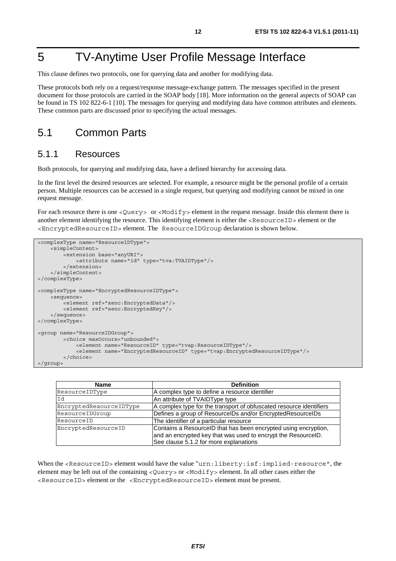# 5 TV-Anytime User Profile Message Interface

This clause defines two protocols, one for querying data and another for modifying data.

These protocols both rely on a request/response message-exchange pattern. The messages specified in the present document for those protocols are carried in the SOAP body [18]. More information on the general aspects of SOAP can be found in TS 102 822-6-1 [10]. The messages for querying and modifying data have common attributes and elements. These common parts are discussed prior to specifying the actual messages.

### 5.1 Common Parts

#### 5.1.1 Resources

Both protocols, for querying and modifying data, have a defined hierarchy for accessing data.

In the first level the desired resources are selected. For example, a resource might be the personal profile of a certain person. Multiple resources can be accessed in a single request, but querying and modifying cannot be mixed in one request message.

For each resource there is one <Query> or <Modify> element in the request message. Inside this element there is another element identifying the resource. This identifying element is either the <ResourceID> element or the <EncryptedResourceID> element. The ResourceIDGroup declaration is shown below.

```
<complexType name="ResourceIDType"> 
     <simpleContent> 
         <extension base="anyURI"> 
             <attribute name="id" type="tva:TVAIDType"/> 
         </extension> 
     </simpleContent> 
</complexType> 
<complexType name="EncryptedResourceIDType"> 
     <sequence> 
         <element ref="xenc:EncryptedData"/> 
         <element ref="xenc:EncryptedKey"/> 
     </sequence> 
</complexType> 
<group name="ResourceIDGroup"> 
         <choice maxOccurs="unbounded"> 
             <element name="ResourceID" type="tvap:ResourceIDType"/> 
              <element name="EncryptedResourceID" type="tvap:EncryptedResourceIDType"/> 
         </choice> 
</group>
```

| <b>Name</b>             | <b>Definition</b>                                                   |
|-------------------------|---------------------------------------------------------------------|
| ResourceIDType          | A complex type to define a resource identifier                      |
| Id                      | An attribute of TVAIDType type                                      |
| EncryptedResourceIDType | A complex type for the transport of obfuscated resource identifiers |
| ResourceIDGroup         | Defines a group of ResourcelDs and/or EncryptedResourcelDs          |
| ResourceID              | The identifier of a particular resource                             |
| EncryptedResourceID     | Contains a ResourceID that has been encrypted using encryption,     |
|                         | and an encrypted key that was used to encrypt the ResourceID.       |
|                         | See clause 5.1.2 for more explanations                              |

When the <ResourceID> element would have the value "urn:liberty:isf:implied-resource", the element may be left out of the containing <Query> or <Modify> element. In all other cases either the <ResourceID> element or the <EncryptedResourceID> element must be present.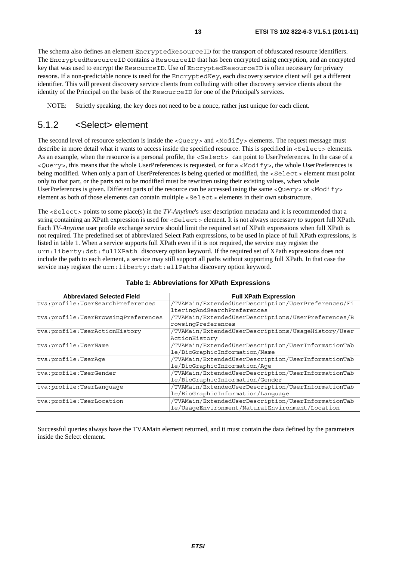The schema also defines an element EncryptedResourceID for the transport of obfuscated resource identifiers. The EncryptedResourceID contains a ResourceID that has been encrypted using encryption, and an encrypted key that was used to encrypt the ResourceID. Use of EncryptedResourceID is often necessary for privacy reasons. If a non-predictable nonce is used for the EncryptedKey, each discovery service client will get a different identifier. This will prevent discovery service clients from colluding with other discovery service clients about the identity of the Principal on the basis of the ResourceID for one of the Principal's services.

NOTE: Strictly speaking, the key does not need to be a nonce, rather just unique for each client.

### 5.1.2 <Select> element

The second level of resource selection is inside the <Query> and <Modify> elements. The request message must describe in more detail what it wants to access inside the specified resource. This is specified in <Select> elements. As an example, when the resource is a personal profile, the <Select> can point to UserPreferences. In the case of a <Query>, this means that the whole UserPreferences is requested, or for a <Modify>, the whole UserPreferences is being modified. When only a part of UserPreferences is being queried or modified, the <Select> element must point only to that part, or the parts not to be modified must be rewritten using their existing values, when whole UserPreferences is given. Different parts of the resource can be accessed using the same <Query> or <Modify> element as both of those elements can contain multiple <Select> elements in their own substructure.

The <Select> points to some place(s) in the *TV-Anytime*'s user description metadata and it is recommended that a string containing an XPath expression is used for <Select> element. It is not always necessary to support full XPath. Each *TV-Anytime* user profile exchange service should limit the required set of XPath expressions when full XPath is not required. The predefined set of abbreviated Select Path expressions, to be used in place of full XPath expressions, is listed in table 1. When a service supports full XPath even if it is not required, the service may register the urn:liberty:dst:fullXPath discovery option keyword. If the required set of XPath expressions does not include the path to each element, a service may still support all paths without supporting full XPath. In that case the service may register the urn:liberty:dst:allPaths discovery option keyword.

| <b>Abbreviated Selected Field</b>     | <b>Full XPath Expression</b>                        |
|---------------------------------------|-----------------------------------------------------|
| tva:profile:UserSearchPreferences     | /TVAMain/ExtendedUserDescription/UserPreferences/Fi |
|                                       | lteringAndSearchPreferences                         |
| tva: profile: UserBrowsingPreferences | /TVAMain/ExtendedUserDescriptions/UserPreferences/B |
|                                       | rowsingPreferences                                  |
| tva: profile: UserActionHistory       | /TVAMain/ExtendedUserDescriptions/UsaqeHistory/User |
|                                       | ActionHistory                                       |
| tva:profile:UserName                  | /TVAMain/ExtendedUserDescription/UserInformationTab |
|                                       | le/BioGraphicInformation/Name                       |
| tva: profile: UserAge                 | /TVAMain/ExtendedUserDescription/UserInformationTab |
|                                       | le/BioGraphicInformation/Aqe                        |
| tva: profile: UserGender              | /TVAMain/ExtendedUserDescription/UserInformationTab |
|                                       | le/BioGraphicInformation/Gender                     |
| tva: profile: UserLanquaqe            | /TVAMain/ExtendedUserDescription/UserInformationTab |
|                                       | le/BioGraphicInformation/Lanquage                   |
| tva: profile: UserLocation            | /TVAMain/ExtendedUserDescription/UserInformationTab |
|                                       | le/UsageEnvironment/NaturalEnvironment/Location     |

#### **Table 1: Abbreviations for XPath Expressions**

Successful queries always have the TVAMain element returned, and it must contain the data defined by the parameters inside the Select element.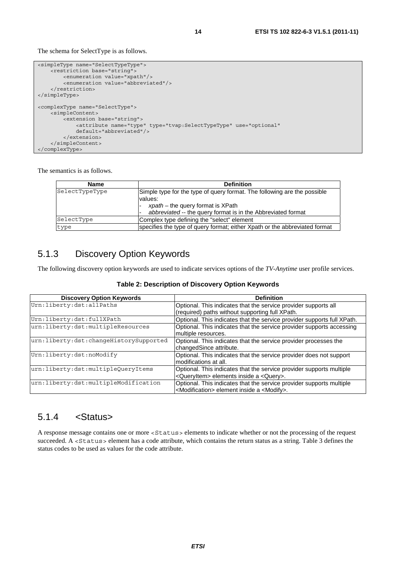The schema for SelectType is as follows.

```
<simpleType name="SelectTypeType"> 
    -<br><restriction base="string"
         <enumeration value="xpath"/> 
         <enumeration value="abbreviated"/> 
     </restriction> 
</simpleType> 
<complexType name="SelectType"> 
     <simpleContent> 
         <extension base="string"> 
             <attribute name="type" type="tvap:SelectTypeType" use="optional" 
             default="abbreviated"/> 
         </extension> 
     </simpleContent> 
</complexType>
```
The semantics is as follows.

| <b>Name</b>    | <b>Definition</b>                                                          |
|----------------|----------------------------------------------------------------------------|
| SelectTypeType | Simple type for the type of query format. The following are the possible   |
|                | values:                                                                    |
|                | $x$ path – the query format is XPath                                       |
|                | abbreviated -- the query format is in the Abbreviated format               |
| SelectType     | Complex type defining the "select" element                                 |
| type           | specifies the type of query format; either Xpath or the abbreviated format |

### 5.1.3 Discovery Option Keywords

The following discovery option keywords are used to indicate services options of the *TV-Anytime* user profile services.

| <b>Discovery Option Keywords</b>       | <b>Definition</b>                                                       |
|----------------------------------------|-------------------------------------------------------------------------|
| Urn:liberty:dst:allPaths               | Optional. This indicates that the service provider supports all         |
|                                        | (required) paths without supporting full XPath.                         |
| Urn:liberty:dst:fullXPath              | Optional. This indicates that the service provider supports full XPath. |
| urn:liberty:dst:multipleResources      | Optional. This indicates that the service provider supports accessing   |
|                                        | multiple resources.                                                     |
| urn:liberty:dst:changeHistorySupported | Optional. This indicates that the service provider processes the        |
|                                        | changedSince attribute.                                                 |
| Urn:liberty:dst:noModify               | Optional. This indicates that the service provider does not support     |
|                                        | modifications at all.                                                   |
| urn:liberty:dst:multipleQueryItems     | Optional. This indicates that the service provider supports multiple    |
|                                        | <queryitem> elements inside a <query>.</query></queryitem>              |
| urn:liberty:dst:multipleModification   | Optional. This indicates that the service provider supports multiple    |
|                                        | <modification> element inside a <modify>.</modify></modification>       |

#### 5.1.4 <Status>

A response message contains one or more <Status> elements to indicate whether or not the processing of the request succeeded. A <Status> element has a code attribute, which contains the return status as a string. Table 3 defines the status codes to be used as values for the code attribute.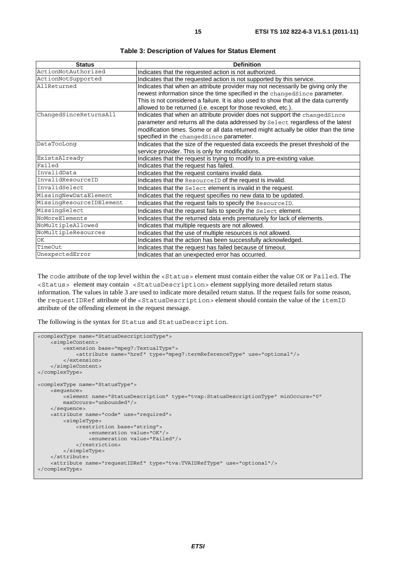| <b>Status</b>            | <b>Definition</b>                                                                     |
|--------------------------|---------------------------------------------------------------------------------------|
| ActionNotAuthorized      | Indicates that the requested action is not authorized.                                |
| ActionNotSupported       | Indicates that the requested action is not supported by this service.                 |
| AllReturned              | Indicates that when an attribute provider may not necessarily be giving only the      |
|                          | newest information since the time specified in the changedSince parameter.            |
|                          | This is not considered a failure. It is also used to show that all the data currently |
|                          | allowed to be returned (i.e. except for those revoked, etc.).                         |
| ChangedSinceReturnsAll   | Indicates that when an attribute provider does not support the changedSince           |
|                          | parameter and returns all the data addressed by Select regardless of the latest       |
|                          | modification times. Some or all data returned might actually be older than the time   |
|                          | specified in the changedSince parameter.                                              |
| DataTooLong              | Indicates that the size of the requested data exceeds the preset threshold of the     |
|                          | service provider. This is only for modifications.                                     |
| ExistsAlready            | Indicates that the request is trying to modify to a pre-existing value.               |
| Failed                   | Indicates that the request has failed.                                                |
| InvalidData              | Indicates that the request contains invalid data.                                     |
| InvalidResourceID        | Indicates that the ResourceID of the request is invalid.                              |
| InvalidSelect            | Indicates that the Select element is invalid in the request.                          |
| MissingNewDataElement    | Indicates that the request specifies no new data to be updated.                       |
| MissingResourceIDElement | Indicates that the request fails to specify the ResourceID.                           |
| MissingSelect            | Indicates that the request fails to specify the Select element.                       |
| NoMoreElements           | Indicates that the returned data ends prematurely for lack of elements.               |
| NoMultipleAllowed        | Indicates that multiple requests are not allowed.                                     |
| NoMultipleResources      | Indicates that the use of multiple resources is not allowed.                          |
| OK                       | Indicates that the action has been successfully acknowledged.                         |
| TimeOut                  | Indicates that the request has failed because of timeout.                             |
| UnexpectedError          | Indicates that an unexpected error has occurred.                                      |

**Table 3: Description of Values for Status Element** 

The code attribute of the top level within the <Status> element must contain either the value OK or Failed. The <Status> element may contain <StatusDescription> element supplying more detailed return status information. The values in table 3 are used to indicate more detailed return status. If the request fails for some reason, the requestIDRef attribute of the <StatusDescription> element should contain the value of the itemID attribute of the offending element in the request message.

The following is the syntax for Status and StatusDescription.

```
<complexType name="StatusDescriptionType"> 
     <simpleContent> 
        -<br><extension base="mpeg7:TextualType">
             <attribute name="href" type="mpeg7:termReferenceType" use="optional"/> 
         </extension> 
     </simpleContent> 
</complexType> 
<complexType name="StatusType"> 
     <sequence> 
        .<br><element name="StatusDescription" type="tvap:StatusDescriptionType" minOccurs="0"
         maxOccurs="unbounded"/> 
     </sequence> 
     <attribute name="code" use="required"> 
         <simpleType> 
             <restriction base="string"> 
                 <enumeration value="OK"/> 
                  <enumeration value="Failed"/> 
             </restriction> 
         </simpleType> 
     </attribute> 
     <attribute name="requestIDRef" type="tva:TVAIDRefType" use="optional"/> 
</complexType>
```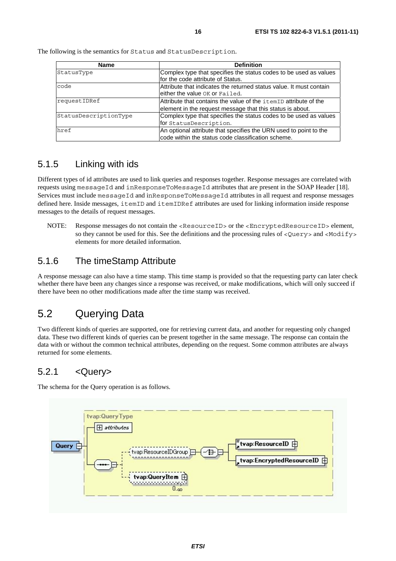| <b>Name</b>           | <b>Definition</b>                                                                                                             |
|-----------------------|-------------------------------------------------------------------------------------------------------------------------------|
| StatusType            | Complex type that specifies the status codes to be used as values<br>for the code attribute of Status.                        |
| code                  | Attribute that indicates the returned status value. It must contain<br>either the value OK or Failed.                         |
| requestIDRef          | Attribute that contains the value of the itemID attribute of the<br>element in the request message that this status is about. |
| StatusDescriptionType | Complex type that specifies the status codes to be used as values<br>for StatusDescription.                                   |
| href                  | An optional attribute that specifies the URN used to point to the<br>code within the status code classification scheme.       |

The following is the semantics for Status and StatusDescription.

### 5.1.5 Linking with ids

Different types of id attributes are used to link queries and responses together. Response messages are correlated with requests using messageId and inResponseToMessageId attributes that are present in the SOAP Header [18]. Services must include messageId and inResponseToMessageId attributes in all request and response messages defined here. Inside messages, itemID and itemIDRef attributes are used for linking information inside response messages to the details of request messages.

NOTE: Response messages do not contain the <ResourceID> or the <EncryptedResourceID> element, so they cannot be used for this. See the definitions and the processing rules of <Query> and <Modify> elements for more detailed information.

### 5.1.6 The timeStamp Attribute

A response message can also have a time stamp. This time stamp is provided so that the requesting party can later check whether there have been any changes since a response was received, or make modifications, which will only succeed if there have been no other modifications made after the time stamp was received.

### 5.2 Querying Data

Two different kinds of queries are supported, one for retrieving current data, and another for requesting only changed data. These two different kinds of queries can be present together in the same message. The response can contain the data with or without the common technical attributes, depending on the request. Some common attributes are always returned for some elements.

### 5.2.1 <Query>

The schema for the Query operation is as follows.

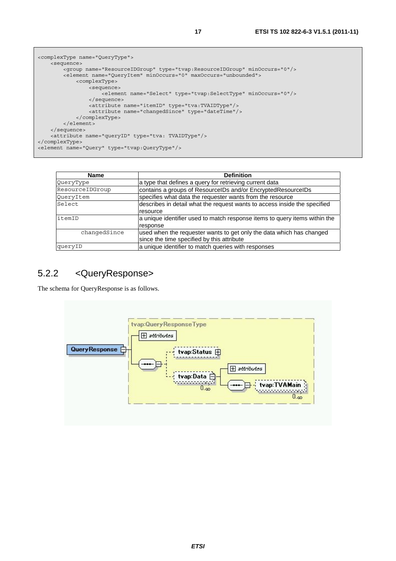```
<complexType name="QueryType"> 
     <sequence> 
         <group name="ResourceIDGroup" type="tvap:ResourceIDGroup" minOccurs="0"/> 
         <element name="QueryItem" minOccurs="0" maxOccurs="unbounded"> 
             <complexType> 
                  <sequence> 
                      <element name="Select" type="tvap:SelectType" minOccurs="0"/> 
                  </sequence> 
                  <attribute name="itemID" type="tva:TVAIDType"/> 
                  <attribute name="changedSince" type="dateTime"/> 
             </complexType> 
         </element> 
     </sequence> 
     <attribute name="queryID" type="tva: TVAIDType"/> 
</complexType> 
<element name="Query" type="tvap:QueryType"/>
```

| <b>Name</b>     | <b>Definition</b>                                                          |
|-----------------|----------------------------------------------------------------------------|
| QueryType       | a type that defines a query for retrieving current data                    |
| ResourceIDGroup | contains a groups of ResourceIDs and/or EncryptedResourceIDs               |
| QueryItem       | specifies what data the requester wants from the resource                  |
| Select          | describes in detail what the request wants to access inside the specified  |
|                 | resource                                                                   |
| litemID         | a unique identifier used to match response items to query items within the |
|                 | response                                                                   |
| changedSince    | used when the requester wants to get only the data which has changed       |
|                 | since the time specified by this attribute                                 |
| queryID         | a unique identifier to match queries with responses                        |

### 5.2.2 <QueryResponse>

The schema for QueryResponse is as follows.

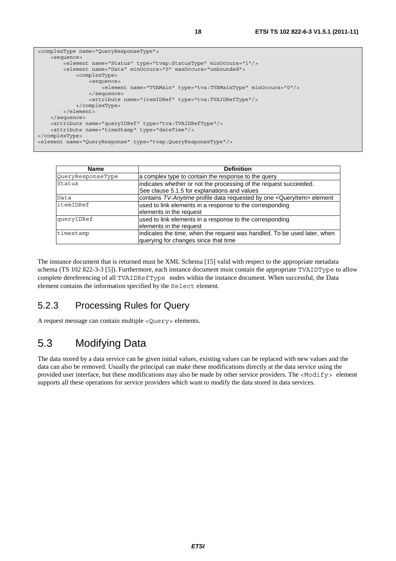```
<complexType name="QueryResponseType"> 
     <sequence> 
         <element name="Status" type="tvap:StatusType" minOccurs="1"/> 
         <element name="Data" minOccurs="0" maxOccurs="unbounded"> 
             <complexType> 
                 <sequence> 
                      <element name="TVAMain" type="tva:TVAMainType" minOccurs="0"/> 
                 </sequence> 
                 <attribute name="itemIDRef" type="tva:TVAIDRefType"/> 
             </complexType> 
         </element> 
     </sequence> 
     <attribute name="queryIDRef" type="tva:TVAIDRefType"/> 
     <attribute name="timeStamp" type="dateTime"/> 
</complexType> 
<element name="QueryResponse" type="tvap:QueryResponseType"/>
```

| <b>Name</b>       | <b>Definition</b>                                                        |
|-------------------|--------------------------------------------------------------------------|
| QueryResponseType | a complex type to contain the response to the query                      |
| Status            | indicates whether or not the processing of the request succeeded.        |
|                   | See clause 5.1.5 for explanations and values                             |
| Data              | contains TV-Anytime profile data requested by one < QueryItem> element   |
| litemIDRef        | used to link elements in a response to the corresponding                 |
|                   | elements in the request                                                  |
| queryIDRef        | used to link elements in a response to the corresponding                 |
|                   | elements in the request                                                  |
| timestamp         | indicates the time, when the request was handled. To be used later, when |
|                   | querying for changes since that time                                     |

The instance document that is returned must be XML Schema [15] valid with respect to the appropriate metadata schema (TS 102 822-3-3 [5]). Furthermore, each instance document must contain the appropriate TVAIDType to allow complete dereferencing of all TVAIDRefType nodes within the instance document. When successful, the Data element contains the information specified by the Select element.

### 5.2.3 Processing Rules for Query

A request message can contain multiple <Query> elements.

### 5.3 Modifying Data

The data stored by a data service can be given initial values, existing values can be replaced with new values and the data can also be removed. Usually the principal can make these modifications directly at the data service using the provided user interface, but these modifications may also be made by other service providers. The <Modify> element supports all these operations for service providers which want to modify the data stored in data services.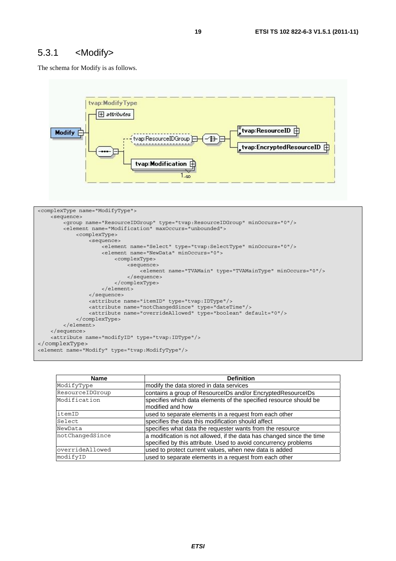#### 5.3.1 <Modify>

The schema for Modify is as follows.



| <b>Name</b>     | <b>Definition</b>                                                                                                                        |
|-----------------|------------------------------------------------------------------------------------------------------------------------------------------|
| ModifyType      | modify the data stored in data services                                                                                                  |
| ResourceIDGroup | contains a group of ResourcelDs and/or EncryptedResourcelDs                                                                              |
| Modification    | specifies which data elements of the specified resource should be<br>modified and how                                                    |
| itemID          | used to separate elements in a request from each other                                                                                   |
| Select          | specifies the data this modification should affect                                                                                       |
| NewData         | specifies what data the requester wants from the resource                                                                                |
| notChangedSince | a modification is not allowed, if the data has changed since the time<br>specified by this attribute. Used to avoid concurrency problems |
| overrideAllowed | used to protect current values, when new data is added                                                                                   |
| modifyID        | used to separate elements in a request from each other                                                                                   |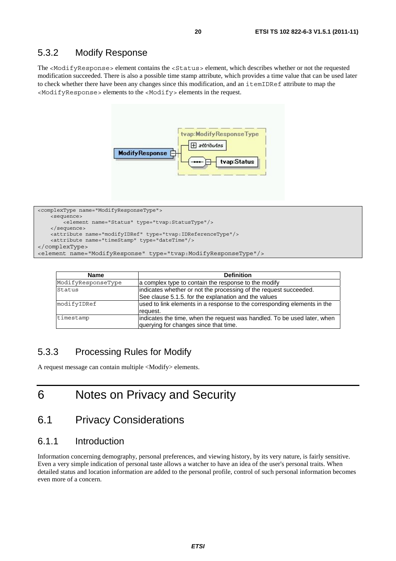#### 5.3.2 Modify Response

The <ModifyResponse> element contains the <Status> element, which describes whether or not the requested modification succeeded. There is also a possible time stamp attribute, which provides a time value that can be used later to check whether there have been any changes since this modification, and an itemIDRef attribute to map the <ModifyResponse> elements to the <Modify> elements in the request.



```
<complexType name="ModifyResponseType"> 
    <sequence> 
         <element name="Status" type="tvap:StatusType"/> 
     </sequence> 
    <attribute name="modifyIDRef" type="tvap:IDReferenceType"/> 
    <attribute name="timeStamp" type="dateTime"/> 
</complexType> 
<element name="ModifyResponse" type="tvap:ModifyResponseType"/>
```

| <b>Name</b>        | <b>Definition</b>                                                                                                         |
|--------------------|---------------------------------------------------------------------------------------------------------------------------|
| ModifyResponseType | a complex type to contain the response to the modify                                                                      |
| Status             | indicates whether or not the processing of the request succeeded.<br>See clause 5.1.5. for the explanation and the values |
| modifyIDRef        | used to link elements in a response to the corresponding elements in the<br>request.                                      |
| timestamp          | indicates the time, when the request was handled. To be used later, when<br>querying for changes since that time.         |

#### 5.3.3 Processing Rules for Modify

A request message can contain multiple <Modify> elements.

# 6 Notes on Privacy and Security

### 6.1 Privacy Considerations

#### 6.1.1 Introduction

Information concerning demography, personal preferences, and viewing history, by its very nature, is fairly sensitive. Even a very simple indication of personal taste allows a watcher to have an idea of the user's personal traits. When detailed status and location information are added to the personal profile, control of such personal information becomes even more of a concern.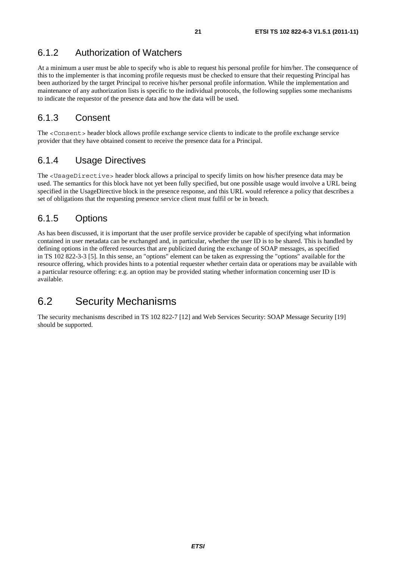### 6.1.2 Authorization of Watchers

At a minimum a user must be able to specify who is able to request his personal profile for him/her. The consequence of this to the implementer is that incoming profile requests must be checked to ensure that their requesting Principal has been authorized by the target Principal to receive his/her personal profile information. While the implementation and maintenance of any authorization lists is specific to the individual protocols, the following supplies some mechanisms to indicate the requestor of the presence data and how the data will be used.

### 6.1.3 Consent

The <Consent> header block allows profile exchange service clients to indicate to the profile exchange service provider that they have obtained consent to receive the presence data for a Principal.

### 6.1.4 Usage Directives

The <UsageDirective> header block allows a principal to specify limits on how his/her presence data may be used. The semantics for this block have not yet been fully specified, but one possible usage would involve a URL being specified in the UsageDirective block in the presence response, and this URL would reference a policy that describes a set of obligations that the requesting presence service client must fulfil or be in breach.

### 6.1.5 Options

As has been discussed, it is important that the user profile service provider be capable of specifying what information contained in user metadata can be exchanged and, in particular, whether the user ID is to be shared. This is handled by defining options in the offered resources that are publicized during the exchange of SOAP messages, as specified in TS 102 822-3-3 [5]. In this sense, an "options" element can be taken as expressing the "options" available for the resource offering, which provides hints to a potential requester whether certain data or operations may be available with a particular resource offering: e.g. an option may be provided stating whether information concerning user ID is available.

### 6.2 Security Mechanisms

The security mechanisms described in TS 102 822-7 [12] and Web Services Security: SOAP Message Security [19] should be supported.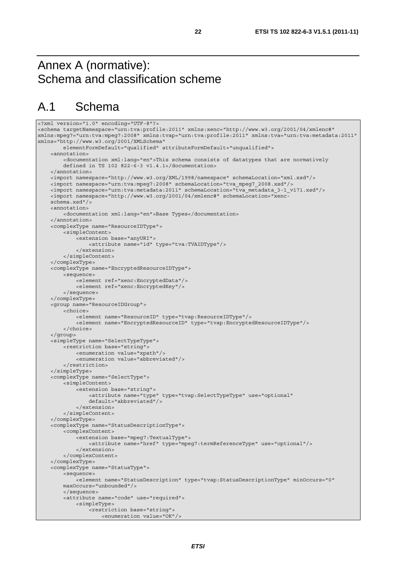# Annex A (normative): Schema and classification scheme

# A.1 Schema

```
<?xml version="1.0" encoding="UTF-8"?> 
<schema targetNamespace="urn:tva:profile:2011" xmlns:xenc="http://www.w3.org/2001/04/xmlenc#" 
xmlns:mpeg7="urn:tva:mpeg7:2008" xmlns:tvap="urn:tva:profile:2011" xmlns:tva="urn:tva:metadata:2011" 
xmlns="http://www.w3.org/2001/XMLSchema" 
         elementFormDefault="qualified" attributeFormDefault="unqualified"> 
     <annotation> 
         <documentation xml:lang="en">This schema consists of datatypes that are normatively 
         defined in TS 102 822-6-3 v1.4.1</documentation> 
     </annotation> 
     <import namespace="http://www.w3.org/XML/1998/namespace" schemaLocation="xml.xsd"/> 
     <import namespace="urn:tva:mpeg7:2008" schemaLocation="tva_mpeg7_2008.xsd"/> 
     <import namespace="urn:tva:metadata:2011" schemaLocation="tva_metadata_3-1_v171.xsd"/> 
     <import namespace="http://www.w3.org/2001/04/xmlenc#" schemaLocation="xenc- 
     schema.xsd"/> 
     <annotation> 
         <documentation xml:lang="en">Base Types</documentation> 
     </annotation> 
     <complexType name="ResourceIDType"> 
         <simpleContent> 
             <extension base="anyURI"> 
                 <attribute name="id" type="tva:TVAIDType"/> 
             </extension> 
         </simpleContent> 
     </complexType> 
     <complexType name="EncryptedResourceIDType"> 
         <sequence> 
             <element ref="xenc:EncryptedData"/> 
             <element ref="xenc:EncryptedKey"/> 
         </sequence> 
     </complexType> 
     <group name="ResourceIDGroup"> 
         <choice> 
             <element name="ResourceID" type="tvap:ResourceIDType"/> 
             <element name="EncryptedResourceID" type="tvap:EncryptedResourceIDType"/> 
         </choice> 
     </group> 
     <simpleType name="SelectTypeType"> 
         <restriction base="string"> 
             <enumeration value="xpath"/> 
             <enumeration value="abbreviated"/> 
         </restriction> 
     </simpleType> 
     <complexType name="SelectType"> 
         <simpleContent> 
             <extension base="string"> 
                 <attribute name="type" type="tvap:SelectTypeType" use="optional" 
                 default="abbreviated"/> 
             </extension> 
         </simpleContent> 
     </complexType> 
     <complexType name="StatusDescriptionType"> 
         <complexContent> 
             <extension base="mpeg7:TextualType"> 
                 <attribute name="href" type="mpeg7:termReferenceType" use="optional"/> 
             </extension> 
         </complexContent> 
     </complexType> 
     <complexType name="StatusType"> 
         <sequence> 
             <element name="StatusDescription" type="tvap:StatusDescriptionType" minOccurs="0" 
         maxOccurs="unbounded"/> 
         </sequence> 
         <attribute name="code" use="required"> 
             <simpleType> 
                 <restriction base="string"> 
                     <enumeration value="OK"/>
```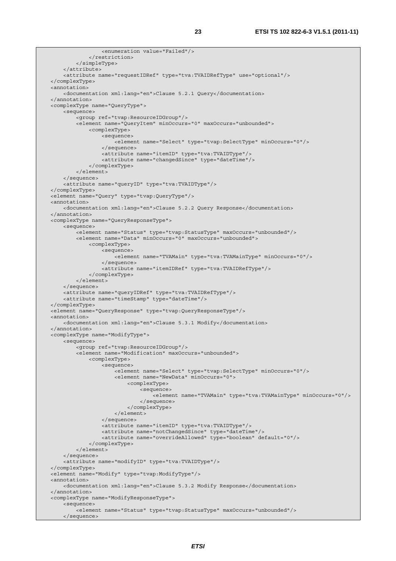```
 <enumeration value="Failed"/> 
              </restriction> 
          </simpleType> 
     </attribute> 
     <attribute name="requestIDRef" type="tva:TVAIDRefType" use="optional"/> 
 </complexType> 
 <annotation> 
     <documentation xml:lang="en">Clause 5.2.1 Query</documentation> 
 </annotation> 
 <complexType name="QueryType"> 
     <sequence> 
         <group ref="tvap:ResourceIDGroup"/> 
         <element name="QueryItem" minOccurs="0" maxOccurs="unbounded"> 
              <complexType> 
                  <sequence> 
                      <element name="Select" type="tvap:SelectType" minOccurs="0"/> 
                  </sequence> 
                  <attribute name="itemID" type="tva:TVAIDType"/> 
                  <attribute name="changedSince" type="dateTime"/> 
              </complexType> 
         </element> 
     </sequence> 
     <attribute name="queryID" type="tva:TVAIDType"/> 
 </complexType> 
 <element name="Query" type="tvap:QueryType"/> 
 <annotation> 
     <documentation xml:lang="en">Clause 5.2.2 Query Response</documentation> 
 </annotation> 
 <complexType name="QueryResponseType"> 
     <sequence> 
        -<br><element name="Status" type="tvap:StatusType" maxOccurs="unbounded"/>
         <element name="Data" minOccurs="0" maxOccurs="unbounded"> 
              <complexType> 
                  <sequence> 
                      <element name="TVAMain" type="tva:TVAMainType" minOccurs="0"/> 
                  </sequence> 
                  <attribute name="itemIDRef" type="tva:TVAIDRefType"/> 
              </complexType> 
         </element> 
     </sequence> 
     <attribute name="queryIDRef" type="tva:TVAIDRefType"/> 
     <attribute name="timeStamp" type="dateTime"/> 
 </complexType> 
 <element name="QueryResponse" type="tvap:QueryResponseType"/> 
 <annotation> 
     <documentation xml:lang="en">Clause 5.3.1 Modify</documentation> 
 </annotation> 
 <complexType name="ModifyType"> 
     <sequence> 
          <group ref="tvap:ResourceIDGroup"/> 
         <element name="Modification" maxOccurs="unbounded"> 
              <complexType> 
                  <sequence> 
                      <element name="Select" type="tvap:SelectType" minOccurs="0"/> 
                      <element name="NewData" minOccurs="0"> 
                           <complexType> 
                               <sequence> 
                                   <element name="TVAMain" type="tva:TVAMainType" minOccurs="0"/> 
                               </sequence> 
                           </complexType> 
                      </element> 
                  </sequence> 
                  <attribute name="itemID" type="tva:TVAIDType"/> 
                  <attribute name="notChangedSince" type="dateTime"/> 
                  <attribute name="overrideAllowed" type="boolean" default="0"/> 
              </complexType> 
         </element> 
     </sequence> 
     <attribute name="modifyID" type="tva:TVAIDType"/> 
 </complexType> 
 <element name="Modify" type="tvap:ModifyType"/> 
 <annotation> 
     <documentation xml:lang="en">Clause 5.3.2 Modify Response</documentation> 
 </annotation> 
 <complexType name="ModifyResponseType"> 
     <sequence> 
         <element name="Status" type="tvap:StatusType" maxOccurs="unbounded"/> 
     </sequence>
```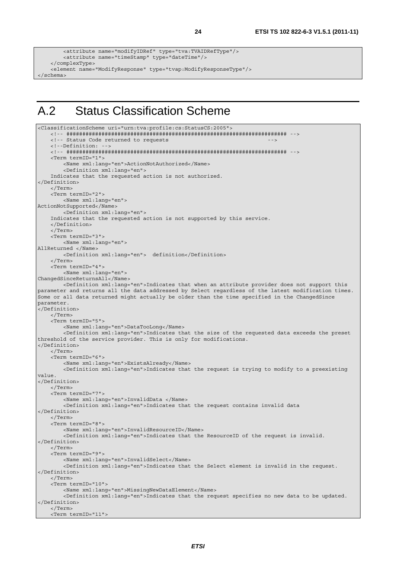```
 <attribute name="modifyIDRef" type="tva:TVAIDRefType"/> 
         <attribute name="timeStamp" type="dateTime"/> 
     </complexType> 
    <element name="ModifyResponse" type="tvap:ModifyResponseType"/> 
</schema>
```
# A.2 Status Classification Scheme

```
<ClassificationScheme uri="urn:tva:profile:cs:StatusCS:2005"> 
     <!-- ##################################################################### --> 
    <!-- Status Code returned to requests
     <!--Definition: --> 
     <!-- ##################################################################### --> 
     <Term termID="1"> 
         <Name xml:lang="en">ActionNotAuthorized</Name> 
         <Definition xml:lang="en"> 
     Indicates that the requested action is not authorized. 
</Definition> 
     </Term> 
     <Term termID="2"> 
         <Name xml:lang="en"> 
ActionNotSupported</Name> 
         <Definition xml:lang="en"> 
     Indicates that the requested action is not supported by this service. 
     </Definition> 
     </Term> 
     <Term termID="3"> 
         <Name xml:lang="en"> 
AllReturned </Name> 
         <Definition xml:lang="en"> definition</Definition> 
     </Term> 
     <Term termID="4"> 
         <Name xml:lang="en"> 
ChangedSinceReturnsAll</Name> 
         <Definition xml:lang="en">Indicates that when an attribute provider does not support this 
parameter and returns all the data addressed by Select regardless of the latest modification times. 
Some or all data returned might actually be older than the time specified in the ChangedSince 
parameter. 
.<br></Definition>
     </Term> 
     <Term termID="5"> 
         <Name xml:lang="en">DataTooLong</Name> 
         <Definition xml:lang="en">Indicates that the size of the requested data exceeds the preset 
threshold of the service provider. This is only for modifications. 
</Definition> 
     </Term> 
     <Term termID="6"> 
         <Name xml:lang="en">ExistsAlready</Name> 
         <Definition xml:lang="en">Indicates that the request is trying to modify to a preexisting 
value. 
</Definition> 
     </Term> 
    \epsilonTerm \text{term} Term\text{ID} = "7" <Name xml:lang="en">InvalidData </Name> 
         <Definition xml:lang="en">Indicates that the request contains invalid data 
</Definition> 
     </Term> 
     <Term termID="8"> 
         <Name xml:lang="en">InvalidResourceID</Name> 
         <Definition xml:lang="en">Indicates that the ResourceID of the request is invalid. 
</Definition> 
     </Term> 
     <Term termID="9"> 
         <Name xml:lang="en">InvalidSelect</Name> 
         <Definition xml:lang="en">Indicates that the Select element is invalid in the request. 
</Definition> 
     </Term> 
     <Term termID="10"> 
         <Name xml:lang="en">MissingNewDataElement</Name> 
         <Definition xml:lang="en">Indicates that the request specifies no new data to be updated. 
</Definition> 
     </Term> 
     <Term termID="11">
```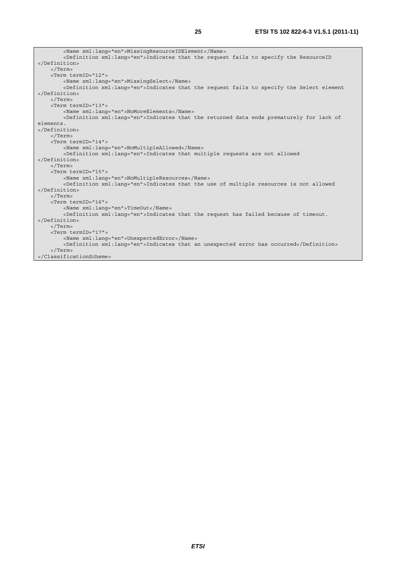| <name xml:lanq="en">MissinqResourceIDElement</name>                                                   |  |  |  |
|-------------------------------------------------------------------------------------------------------|--|--|--|
| <definition xml:lanq="en">Indicates that the request fails to specify the ResourceID</definition>     |  |  |  |
|                                                                                                       |  |  |  |
| $\langle$ Term $\rangle$                                                                              |  |  |  |
| <term termid="12"></term>                                                                             |  |  |  |
| <name xml:lang="en">MissingSelect</name>                                                              |  |  |  |
| <definition xml:lang="en">Indicates that the request fails to specify the Select element</definition> |  |  |  |
|                                                                                                       |  |  |  |
| $\langle$ Term $\rangle$                                                                              |  |  |  |
| <term termid="13"></term>                                                                             |  |  |  |
| <name xml:lang="en">NoMoreElements</name>                                                             |  |  |  |
| <definition xml:lanq="en">Indicates that the returned data ends prematurely for lack of</definition>  |  |  |  |
| elements.                                                                                             |  |  |  |
|                                                                                                       |  |  |  |
| $\langle$ /Term>                                                                                      |  |  |  |
| <term termid="14"></term>                                                                             |  |  |  |
| <name xml:lanq="en">NoMultipleAllowed</name>                                                          |  |  |  |
| <definition xml:lang="en">Indicates that multiple requests are not allowed</definition>               |  |  |  |
|                                                                                                       |  |  |  |
| $\langle$ Term>                                                                                       |  |  |  |
| <term termid="15"></term>                                                                             |  |  |  |
| <name xml:lang="en">NoMultipleResources</name>                                                        |  |  |  |
| <definition xml:lanq="en">Indicates that the use of multiple resources is not allowed</definition>    |  |  |  |
|                                                                                                       |  |  |  |
| $\langle$ Term>                                                                                       |  |  |  |
| <term termid="16"></term>                                                                             |  |  |  |
| <name lang="en" xml:="">TimeOut</name>                                                                |  |  |  |
| <definition xml:lang="en">Indicates that the request has failed because of timeout.</definition>      |  |  |  |
|                                                                                                       |  |  |  |
| $\langle$ /Term $\rangle$                                                                             |  |  |  |
| <term termid="17"></term>                                                                             |  |  |  |
| <name lang="en" xml:="">UnexpectedError</name>                                                        |  |  |  |
| <definition xml:lang="en">Indicates that an unexpected error has occurred</definition>                |  |  |  |
| $\langle$ Term>                                                                                       |  |  |  |
|                                                                                                       |  |  |  |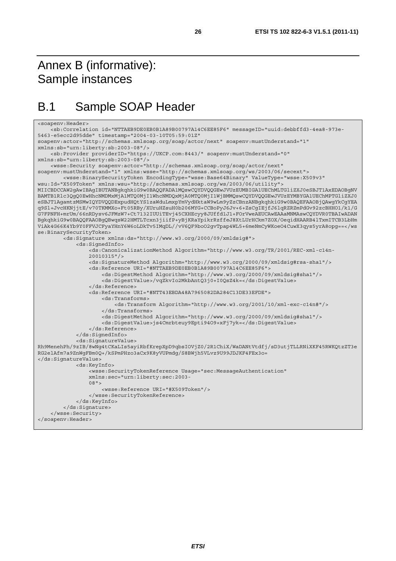# Annex B (informative): Sample instances

# B.1 Sample SOAP Header

```
<soapenv:Header> 
     <sb:Correlation id="NTTAEB9DE0EB0B1A89B00797A14C6EE85F6" messageID="uuid:debbffd3-4ea8-973e-
5463-e5ecc2d95dde" timestamp="2004-03-10T05:59:01Z" 
soapenv:actor="http://schemas.xmlsoap.org/soap/actor/next" soapenv:mustUnderstand="1" 
xmlns:sb="urn:liberty:sb:2003-08"/> 
     <sb:Provider providerID="https://UKCP.com:8443/" soapenv:mustUnderstand="0" 
xmlns:sb="urn:liberty:sb:2003-08"/> 
     <wsse:Security soapenv:actor="http://schemas.xmlsoap.org/soap/actor/next" 
soapenv:mustUnderstand="1" xmlns:wsse="http://schemas.xmlsoap.org/ws/2003/06/secext"> 
         <wsse:BinarySecurityToken EncodingType="wsse:Base64Binary" ValueType="wsse:X509v3" 
wsu:Id="X509Token" xmlns:wsu="http://schemas.xmlsoap.org/ws/2003/06/utility"> 
MIICBDCCAW2gAwIBAgIBUTANBgkqhkiG9w0BAQQFADA1MQswCQYDVQQGEwJVUzEUMBIGA1UEChMLTGliZXJ0eSBJT1AxEDAOBgNV
BAMTB1Rlc3QgQ0EwHhcNMDMxMjA1MTQ0MjI1WhcNMDQxMjA0MTQ0MjI1WjBMMQswCQYDVQQGEwJVUzEYMBYGA1UEChMPTGliZXJ0
eSBJT1AgamtzMSMwIQYDVQQDExpudHQtYS1zaWduLmxpYmVydHktaW9wLm9yZzCBnzANBgkqhkiG9w0BAQEFAAOBjQAwgYkCgYEA
q9Sl+JvcHKNjjtE/v70TKMMXo+Ft05RBy/XUruHZsuH0b206MYG+CCBoPyJ6Jv+6+ZsCgIEjfJ6lqRZRZmPdGv92zcBHHO1/k1/G
G7FPNFH+mrUm/66nRDysv6JFMzW7+Ct7132IUUiTEvj45CXHEcyy8JUffd1J1+FOrVweAEUCAwEAAaMNMAswCQYDVR0TBAIwADAN
BgkqhkiG9w0BAQQFAAOBgQBwqsW22HMTLTcxn3jiifP+yBjKRaYpikrRzffeJ8XtLUrHCkm7ZOX/OeqidHAARB4lTxmITCB3LbHm
ViAk4G66K4Yb9Y0FFVJCFyaYHnY6W6oLDkTv5IMqDL//vV6QF9boO2gvTpap4WL5+6meNmCyWKoeO4CuwX3qys5yrA8opg==</ws
se:BinarySecurityToken> 
         <ds:Signature xmlns:ds="http://www.w3.org/2000/09/xmldsig#"> 
             <ds:SignedInfo> 
                 <ds:CanonicalizationMethod Algorithm="http://www.w3.org/TR/2001/REC-xml-c14n- 
                 20010315"/> 
                 <ds:SignatureMethod Algorithm="http://www.w3.org/2000/09/xmldsig#rsa-sha1"/> 
                 <ds:Reference URI="#NTTAEB9DE0EB0B1A89B00797A14C6EE85F6"> 
                      <ds:DigestMethod Algorithm="http://www.w3.org/2000/09/xmldsig#sha1"/> 
                      <ds:DigestValue>/vqZkvIo2MkbAntQ3j0+I0QsZ4k=</ds:DigestValue> 
                 </ds:Reference> 
                 <ds:Reference URI="#NTT43EBDA48A7965082DA284C13DE33EFDE"> 
                     <ds:Transforms> 
                          <ds:Transform Algorithm="http://www.w3.org/2001/10/xml-exc-c14n#"/> 
                      </ds:Transforms> 
                      <ds:DigestMethod Algorithm="http://www.w3.org/2000/09/xmldsig#sha1"/> 
                      <ds:DigestValue>js4Cmrbteuy9Epti94O9+xFj7yk=</ds:DigestValue> 
                 </ds:Reference> 
             </ds:SignedInfo> 
             <ds:SignatureValue> 
Rh9MenehPh/9zIB/8wNg4tCKaLIs5ayiRbfKrepXpD9qbsIOVjZ0/2R1ChiX/WaDANtVtdfj/sD3utjTLLRNiXKF45RWKQtzZT3e
RG2elAfm7a9ZnWgFBm0Q+/kSPmPHzo3aCx9K8yVUPmdg/S8BWjh5VLvz9U99JDJKF4FEx3o= 
</ds:SignatureValue> 
             <ds:KeyInfo> 
                 <wsse:SecurityTokenReference Usage="sec:MessageAuthentication" 
                 xmlns:sec="urn:liberty:sec:2003- 
                 08"> 
                     <wsse:Reference URI="#X509Token"/> 
                 </wsse:SecurityTokenReference> 
             </ds:KeyInfo> 
         </ds:Signature> 
     </wsse:Security> 
</soapenv:Header>
```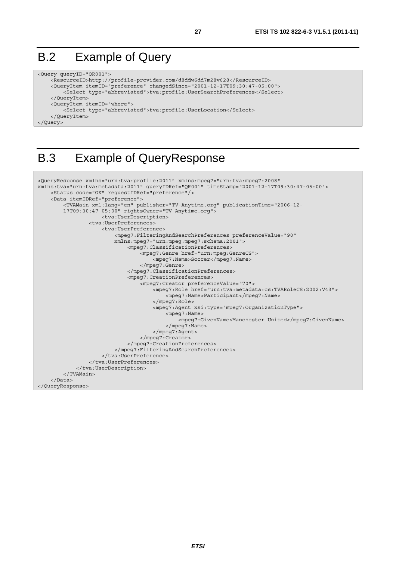# B.2 Example of Query

```
<Query queryID="QR001"> 
     <ResourceID>http://profile-provider.com/d8ddw6dd7m28v628</ResourceID> 
     <QueryItem itemID="preference" changedSince="2001-12-17T09:30:47-05:00"> 
         <Select type="abbreviated">tva:profile:UserSearchPreferences</Select> 
     </QueryItem> 
     <QueryItem itemID="where"> 
         <Select type="abbreviated">tva:profile:UserLocation</Select> 
     </QueryItem> 
</Query>
```
# B.3 Example of QueryResponse

```
<QueryResponse xmlns="urn:tva:profile:2011" xmlns:mpeg7="urn:tva:mpeg7:2008" 
xmlns:tva="urn:tva:metadata:2011" queryIDRef="QR001" timeStamp="2001-12-17T09:30:47-05:00"> 
     <Status code="OK" requestIDRef="preference"/> 
     <Data itemIDRef="preference"> 
         <TVAMain xml:lang="en" publisher="TV-Anytime.org" publicationTime="2006-12- 
         17T09:30:47-05:00" rightsOwner="TV-Anytime.org"> 
                      <tva:UserDescription> 
                  <tva:UserPreferences> 
                      <tva:UserPreference> 
                          <mpeg7:FilteringAndSearchPreferences preferenceValue="90" 
                          xmlns:mpeg7="urn:mpeg:mpeg7:schema:2001"> 
                               <mpeg7:ClassificationPreferences> 
                                   <mpeg7:Genre href="urn:mpeg:GenreCS"> 
                                       <mpeg7:Name>Soccer</mpeg7:Name> 
                                   </mpeg7:Genre> 
                               </mpeg7:ClassificationPreferences> 
                               <mpeg7:CreationPreferences> 
                                   <mpeg7:Creator preferenceValue="70"> 
                                       <mpeg7:Role href="urn:tva:metadata:cs:TVARoleCS:2002:V43"> 
                                            <mpeg7:Name>Participant</mpeg7:Name> 
                                       </mpeg7:Role> 
                                       <mpeg7:Agent xsi:type="mpeg7:OrganizationType"> 
                                            <mpeg7:Name> 
                                                <mpeg7:GivenName>Manchester United</mpeg7:GivenName> 
                                            </mpeg7:Name> 
                                       </mpeg7:Agent> 
                                   </mpeg7:Creator> 
                               </mpeg7:CreationPreferences> 
                          </mpeg7:FilteringAndSearchPreferences> 
                      </tva:UserPreference> 
                  </tva:UserPreferences> 
              </tva:UserDescription> 
         </TVAMain> 
     </Data> 
</QueryResponse>
```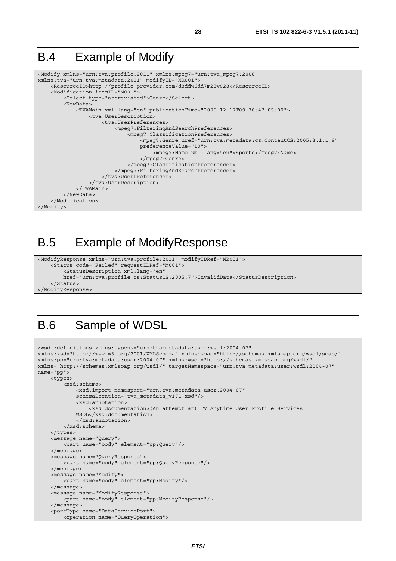# B.4 Example of Modify

```
<Modify xmlns="urn:tva:profile:2011" xmlns:mpeg7="urn:tva_mpeg7:2008" 
xmlns:tva="urn:tva:metadata:2011" modifyID="MR001"> 
     <ResourceID>http://profile-provider.com/d8ddw6dd7m28v628</ResourceID> 
     <Modification itemID="M001"> 
         <Select type="abbreviated">Genre</Select> 
         <NewData> 
             <TVAMain xml:lang="en" publicationTime="2006-12-17T09:30:47-05:00"> 
                  <tva:UserDescription> 
                      <tva:UserPreferences> 
                           <mpeg7:FilteringAndSearchPreferences> 
                               <mpeg7:ClassificationPreferences> 
                                   <mpeg7:Genre href="urn:tva:metadata:cs:ContentCS:2005:3.1.1.9" 
                                   preferenceValue="10"> 
                                        <mpeg7:Name xml:lang="en">Sports</mpeg7:Name> 
                                   </mpeg7:Genre> 
                               </mpeg7:ClassificationPreferences> 
                          </mpeg7:FilteringAndSearchPreferences> 
                      </tva:UserPreferences> 
                  </tva:UserDescription> 
              </TVAMain> 
         </NewData> 
     </Modification> 
</Modify>
```
### B.5 Example of ModifyResponse

```
<ModifyResponse xmlns="urn:tva:profile:2011" modifyIDRef="MR001"> 
     <Status code="Failed" requestIDRef="M001"> 
         <StatusDescription xml:lang="en" 
         href="urn:tva:profile:cs:StatusCS:2005:7">InvalidData</StatusDescription> 
     </Status> 
</ModifyResponse>
```
# B.6 Sample of WDSL

```
<wsdl:definitions xmlns:typens="urn:tva:metadata:user:wsdl:2004-07" 
xmlns:xsd="http://www.w3.org/2001/XMLSchema" xmlns:soap="http://schemas.xmlsoap.org/wsdl/soap/" 
xmlns:pp="urn:tva:metadata:user:2004-07" xmlns:wsdl="http://schemas.xmlsoap.org/wsdl/" 
xmlns="http://schemas.xmlsoap.org/wsdl/" targetNamespace="urn:tva:metadata:user:wsdl:2004-07" 
name="pp"> 
     <types> 
         <xsd:schema> 
              <xsd:import namespace="urn:tva:metadata:user:2004-07" 
              schemaLocation="tva_metadata_v171.xsd"/> 
             <xsd:annotation> 
                  <xsd:documentation>(An attempt at) TV Anytime User Profile Services 
             WSDL</xsd:documentation> 
              </xsd:annotation> 
         </xsd:schema> 
     </types> 
     <message name="Query"> 
         <part name="body" element="pp:Query"/> 
     </message> 
     <message name="QueryResponse"> 
         <part name="body" element="pp:QueryResponse"/> 
     </message> 
     <message name="Modify"> 
         <part name="body" element="pp:Modify"/> 
     </message> 
     <message name="ModifyResponse"> 
         <part name="body" element="pp:ModifyResponse"/> 
     </message> 
     <portType name="DataServicePort"> 
         <operation name="QueryOperation">
```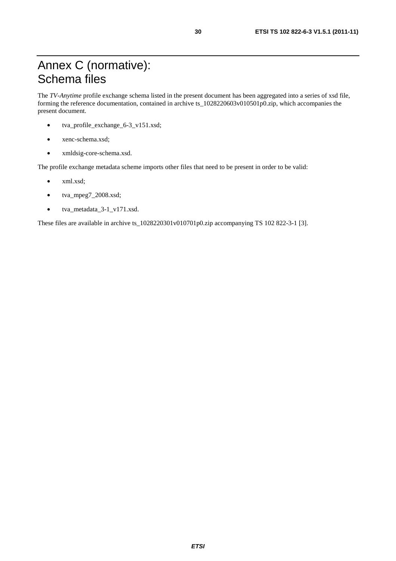# Annex C (normative): Schema files

The *TV-Anytime* profile exchange schema listed in the present document has been aggregated into a series of xsd file, forming the reference documentation, contained in archive ts\_1028220603v010501p0.zip, which accompanies the present document.

- tva\_profile\_exchange\_6-3\_v151.xsd;
- xenc-schema.xsd;
- xmldsig-core-schema.xsd.

The profile exchange metadata scheme imports other files that need to be present in order to be valid:

- xml.xsd;
- tva\_mpeg7\_2008.xsd;
- tva\_metadata\_3-1\_v171.xsd.

These files are available in archive ts\_1028220301v010701p0.zip accompanying TS 102 822-3-1 [3].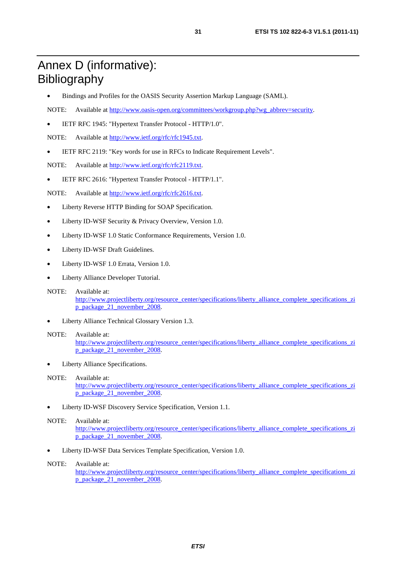# Annex D (informative): Bibliography

- Bindings and Profiles for the OASIS Security Assertion Markup Language (SAML).
- NOTE: Available at [http://www.oasis-open.org/committees/workgroup.php?wg\\_abbrev=security.](http://www.oasis-open.org/committees/workgroup.php?wg_abbrev=security)
- IETF RFC 1945: "Hypertext Transfer Protocol HTTP/1.0".

NOTE: Available at [http://www.ietf.org/rfc/rfc1945.txt.](ftp://ftp.rfc-editor.org/in-notes/rfc1945.txt)

• IETF RFC 2119: "Key words for use in RFCs to Indicate Requirement Levels".

NOTE: Available at [http://www.ietf.org/rfc/rfc2119.txt.](http://www.ietf.org/rfc/rfc2119.txt)

• IETF RFC 2616: "Hypertext Transfer Protocol - HTTP/1.1".

NOTE: Available at [http://www.ietf.org/rfc/rfc2616.txt.](http://www.ietf.org/rfc/rfc2616.txt)

- Liberty Reverse HTTP Binding for SOAP Specification.
- Liberty ID-WSF Security & Privacy Overview, Version 1.0.
- Liberty ID-WSF 1.0 Static Conformance Requirements, Version 1.0.
- Liberty ID-WSF Draft Guidelines.
- Liberty ID-WSF 1.0 Errata, Version 1.0.
- Liberty Alliance Developer Tutorial.
- NOTE: Available at: [http://www.projectliberty.org/resource\\_center/specifications/liberty\\_alliance\\_complete\\_specifications\\_zi](http://www.projectliberty.org/resource_center/specifications/liberty_alliance_complete_specifications_zip_package_21_november_2008) [p\\_package\\_21\\_november\\_2008.](http://www.projectliberty.org/resource_center/specifications/liberty_alliance_complete_specifications_zip_package_21_november_2008)
- Liberty Alliance Technical Glossary Version 1.3.

#### NOTE: Available at:

[http://www.projectliberty.org/resource\\_center/specifications/liberty\\_alliance\\_complete\\_specifications\\_zi](http://www.projectliberty.org/resource_center/specifications/liberty_alliance_complete_specifications_zip_package_21_november_2008) [p\\_package\\_21\\_november\\_2008.](http://www.projectliberty.org/resource_center/specifications/liberty_alliance_complete_specifications_zip_package_21_november_2008)

Liberty Alliance Specifications.

#### NOTE: Available at:

[http://www.projectliberty.org/resource\\_center/specifications/liberty\\_alliance\\_complete\\_specifications\\_zi](http://www.projectliberty.org/resource_center/specifications/liberty_alliance_complete_specifications_zip_package_21_november_2008) [p\\_package\\_21\\_november\\_2008.](http://www.projectliberty.org/resource_center/specifications/liberty_alliance_complete_specifications_zip_package_21_november_2008)

• Liberty ID-WSF Discovery Service Specification, Version 1.1.

#### NOTE: Available at:

[http://www.projectliberty.org/resource\\_center/specifications/liberty\\_alliance\\_complete\\_specifications\\_zi](http://www.projectliberty.org/resource_center/specifications/liberty_alliance_complete_specifications_zip_package_21_november_2008) [p\\_package\\_21\\_november\\_2008.](http://www.projectliberty.org/resource_center/specifications/liberty_alliance_complete_specifications_zip_package_21_november_2008)

• Liberty ID-WSF Data Services Template Specification, Version 1.0.

#### NOTE: Available at:

[http://www.projectliberty.org/resource\\_center/specifications/liberty\\_alliance\\_complete\\_specifications\\_zi](http://www.projectliberty.org/resource_center/specifications/liberty_alliance_complete_specifications_zip_package_21_november_2008) [p\\_package\\_21\\_november\\_2008.](http://www.projectliberty.org/resource_center/specifications/liberty_alliance_complete_specifications_zip_package_21_november_2008)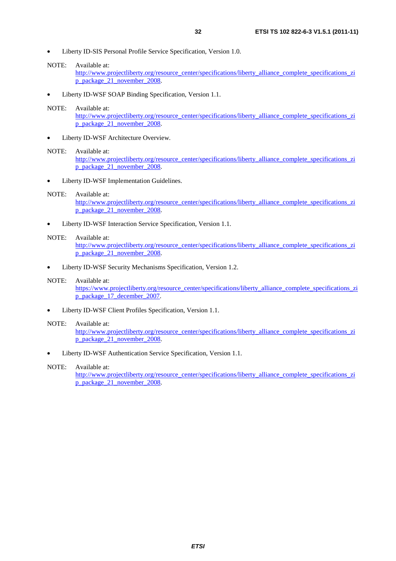NOTE: Available at:

[http://www.projectliberty.org/resource\\_center/specifications/liberty\\_alliance\\_complete\\_specifications\\_zi](http://www.projectliberty.org/resource_center/specifications/liberty_alliance_complete_specifications_zip_package_21_november_2008) [p\\_package\\_21\\_november\\_2008.](http://www.projectliberty.org/resource_center/specifications/liberty_alliance_complete_specifications_zip_package_21_november_2008)

• Liberty ID-WSF SOAP Binding Specification, Version 1.1.

#### NOTE: Available at:

[http://www.projectliberty.org/resource\\_center/specifications/liberty\\_alliance\\_complete\\_specifications\\_zi](http://www.projectliberty.org/resource_center/specifications/liberty_alliance_complete_specifications_zip_package_21_november_2008) [p\\_package\\_21\\_november\\_2008.](http://www.projectliberty.org/resource_center/specifications/liberty_alliance_complete_specifications_zip_package_21_november_2008)

Liberty ID-WSF Architecture Overview.

#### NOTE: Available at:

[http://www.projectliberty.org/resource\\_center/specifications/liberty\\_alliance\\_complete\\_specifications\\_zi](http://www.projectliberty.org/resource_center/specifications/liberty_alliance_complete_specifications_zip_package_21_november_2008) [p\\_package\\_21\\_november\\_2008.](http://www.projectliberty.org/resource_center/specifications/liberty_alliance_complete_specifications_zip_package_21_november_2008)

Liberty ID-WSF Implementation Guidelines.

#### NOTE: Available at:

[http://www.projectliberty.org/resource\\_center/specifications/liberty\\_alliance\\_complete\\_specifications\\_zi](http://www.projectliberty.org/resource_center/specifications/liberty_alliance_complete_specifications_zip_package_21_november_2008) [p\\_package\\_21\\_november\\_2008.](http://www.projectliberty.org/resource_center/specifications/liberty_alliance_complete_specifications_zip_package_21_november_2008)

• Liberty ID-WSF Interaction Service Specification, Version 1.1.

#### NOTE: Available at:

[http://www.projectliberty.org/resource\\_center/specifications/liberty\\_alliance\\_complete\\_specifications\\_zi](http://www.projectliberty.org/resource_center/specifications/liberty_alliance_complete_specifications_zip_package_21_november_2008) [p\\_package\\_21\\_november\\_2008.](http://www.projectliberty.org/resource_center/specifications/liberty_alliance_complete_specifications_zip_package_21_november_2008)

• Liberty ID-WSF Security Mechanisms Specification, Version 1.2.

#### NOTE: Available at:

[https://www.projectliberty.org/resource\\_center/specifications/liberty\\_alliance\\_complete\\_specifications\\_zi](https://www.projectliberty.org/resource_center/specifications/liberty_alliance_complete_specifications_zip_package_17_december_2007) [p\\_package\\_17\\_december\\_2007.](https://www.projectliberty.org/resource_center/specifications/liberty_alliance_complete_specifications_zip_package_17_december_2007) 

• Liberty ID-WSF Client Profiles Specification, Version 1.1.

#### NOTE: Available at:

[http://www.projectliberty.org/resource\\_center/specifications/liberty\\_alliance\\_complete\\_specifications\\_zi](http://www.projectliberty.org/resource_center/specifications/liberty_alliance_complete_specifications_zip_package_21_november_2008) p\_package<sup>21\_</sup>november\_2008.

• Liberty ID-WSF Authentication Service Specification, Version 1.1.

#### NOTE: Available at:

[http://www.projectliberty.org/resource\\_center/specifications/liberty\\_alliance\\_complete\\_specifications\\_zi](http://www.projectliberty.org/resource_center/specifications/liberty_alliance_complete_specifications_zip_package_21_november_2008) [p\\_package\\_21\\_november\\_2008.](http://www.projectliberty.org/resource_center/specifications/liberty_alliance_complete_specifications_zip_package_21_november_2008)